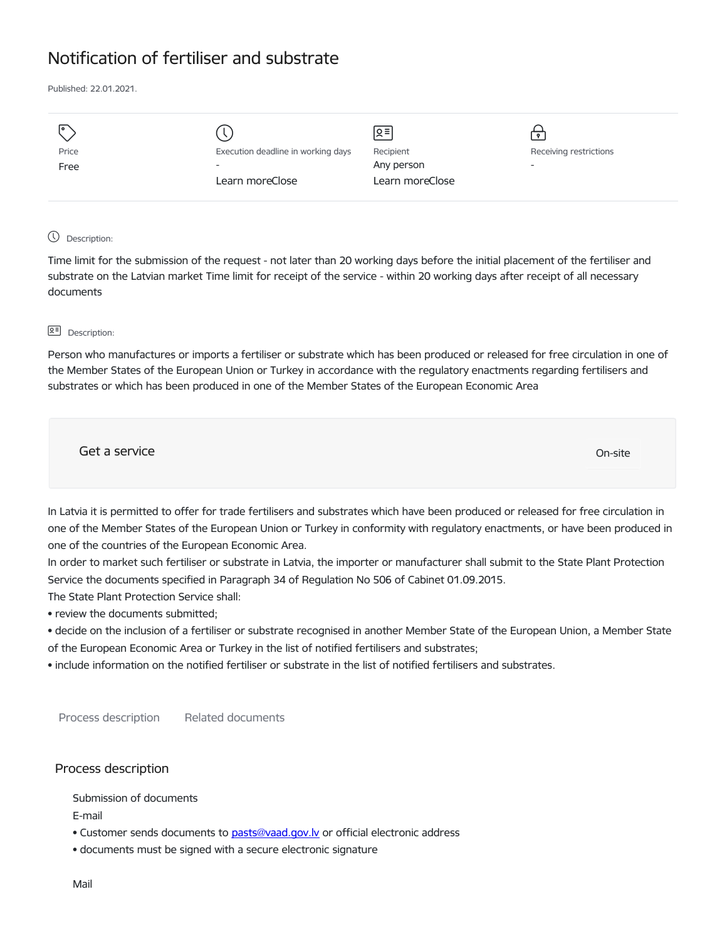## Notification of fertiliser and substrate

Published: 22.01.2021.

| I۰    |                                    | Զ≡              |                          |
|-------|------------------------------------|-----------------|--------------------------|
| Price | Execution deadline in working days | Recipient       | Receiving restrictions   |
| Free  | $\overline{\phantom{0}}$           | Any person      | $\overline{\phantom{a}}$ |
|       | Learn moreClose                    | Learn moreClose |                          |
|       |                                    |                 |                          |

## Description:

Time limit for the submission of the request - not later than 20 working days before the initial placement of the fertiliser and substrate on the Latvian market Time limit for receipt of the service - within 20 working days after receipt of all necessary documents

## **<u>Q</u>≡** Description:

Person who manufactures or imports a fertiliser or substrate which has been produced or released for free circulation in one of the Member States of the European Union or Turkey in accordance with the regulatory enactments regarding fertilisers and substrates or which has been produced in one of the Member States of the European Economic Area

| Get a service | On-site |  |
|---------------|---------|--|
|               |         |  |

In Latvia it is permitted to offer for trade fertilisers and substrates which have been produced or released for free circulation in one of the Member States of the European Union or Turkey in conformity with regulatory enactments, or have been produced in one of the countries of the European Economic Area.

In order to market such fertiliser or substrate in Latvia, the importer or manufacturer shall submit to the State Plant Protection Service the documents specified in Paragraph 34 of Regulation No 506 of Cabinet 01.09.2015.

The State Plant Protection Service shall:

• review the documents submitted;

• decide on the inclusion of a fertiliser or substrate recognised in another Member State of the European Union, a Member State of the European Economic Area or Turkey in the list of notified fertilisers and substrates;

• include information on the notified fertiliser or substrate in the list of notified fertilisers and substrates.

Process description Related documents

## Process description

Submission of documents

E-mail

• Customer sends documents to pasts@vaad.gov.ly or official electronic address

• documents must be signed with a secure electronic signature